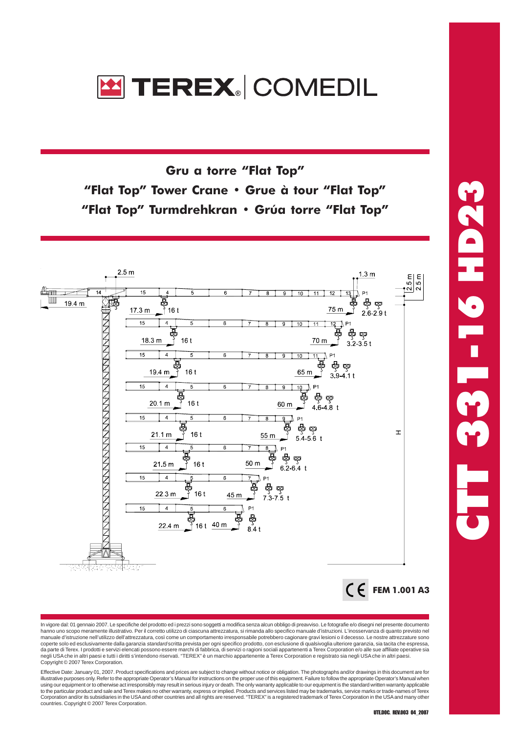

Gru a torre "Flat Top" "Flat Top" Tower Crane • Grue à tour "Flat Top" "Flat Top" Turmdrehkran • Grúa torre "Flat Top"



 CTT 331-16 HD23  $\blacksquare$  - 16 HD23

In vigore dal: 01 gennaio 2007. Le specifiche del prodotto ed i prezzi sono soggetti a modifica senza alcun obbligo di preavviso. Le fotografie e/o disegni nel presente documento hanno uno scopo meramente illustrativo. Per il corretto utilizzo di ciascuna attrezzatura, si rimanda allo specifico manuale d'istruzioni. L'inosservanza di quanto previsto nel manuale d'istruzione nell'utilizzo dell'attrezzatura, così come un comportamento irresponsabile potrebbero cagionare gravi lesioni o il decesso. Le nostre attrezzature sono<br>coperte solo ed esclusivamente dalla garanzia *st* da parte di Terex. I prodotti e servizi elencati possono essere marchi di fabbrica, di servizi o ragioni sociali appartenenti a Terex Corporation e/o alle sue affiliate operative sia<br>negli USA che in altri paesi e tutti i Copyright © 2007 Terex Corporation.

Effective Date: January 01, 2007. Product specifications and prices are subject to change without notice or obligation. The photographs and/or drawings in this document are for<br>illustrative purposes only. Refer to the appr using our equipment or to otherwise act irresponsibly may result in serious injury or death. The only warranty applicable to our equipment is the standard written warranty applicable to our equipment is the standard writte to the particular product and sale and Terex makes no other warranty, express or implied. Products and services listed may be trademarks, service marks or trade-names of Terex Corporation and/or its subsidiaries in the USA and other countries and all rights are reserved. "TEREX" is a registered trademark of Terex Corporation in the USA and many other countries. Copyright © 2007 Terex Corporation.

UTE.DOC. REV.003 04\_2007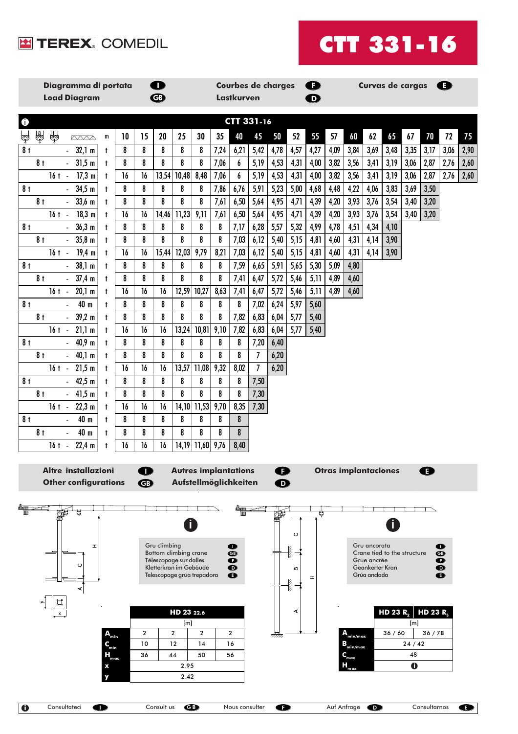



| Diagramma di portata<br><b>Load Diagram</b>                                                                      |              |                | $\mathbf \Omega$<br>$\bigcirc$ |                                                      |                |           | <b>Lastkurven</b>       | <b>Courbes de charges</b> |              |                    | $\bullet$<br>$\bf \Phi$ |              |                             |                                 | Curvas de cargas            |       |                      | Œ                      |      |
|------------------------------------------------------------------------------------------------------------------|--------------|----------------|--------------------------------|------------------------------------------------------|----------------|-----------|-------------------------|---------------------------|--------------|--------------------|-------------------------|--------------|-----------------------------|---------------------------------|-----------------------------|-------|----------------------|------------------------|------|
| CTT 331-16<br>$\bf \bm \theta$                                                                                   |              |                |                                |                                                      |                |           |                         |                           |              |                    |                         |              |                             |                                 |                             |       |                      |                        |      |
| 龠<br>தி<br>ලා<br><b>AXXA</b><br>${\mathsf m}$                                                                    | 10           | 15             | 20                             | 25                                                   | 30             | 35        | 40                      | 45                        | 50           | 52                 | 55                      | 57           | 60                          | 62                              | 65                          | 67    | 70                   | 72                     | 75   |
| 8 <sub>t</sub><br>32,1 m<br>t<br>$\sim$                                                                          | 8            | 8              | 8                              | 8                                                    | 8              | 7,24      | 6,21                    | 5,42                      | 4,78         | 4,57               | 4,27                    | 4,09         | 3,84                        | 3,69                            | 3,48                        | 3,35  | 3,17                 | 3,06                   | 2,90 |
| 31,5 m<br>8 <sub>t</sub><br>$\mathbf{L}^{\text{max}}$<br>$\mathbf{t}$                                            | 8            | 8              | 8                              | 8                                                    | 8              | 7,06      | 6                       | 5,19                      | 4,53         | 4,31               | 4,00                    | 3,82         | 3,56                        | 3,41                            | 3,19                        | 3,06  | 2,87                 | 2,76                   | 2,60 |
| $17,3 \text{ m}$<br>$16t -$<br>$\mathbf{t}$                                                                      | 16           | 16             | 13,54                          | 10,48                                                | 8,48           | 7,06      | 6                       | 5,19                      | 4,53         | 4,31               | 4,00                    | 3,82         | 3,56                        | 3,41                            | 3,19                        | 3,06  | 2,87                 | 2,76                   | 2,60 |
| 34,5 m<br>8 <sub>t</sub><br>$\mathbf{t}$                                                                         | 8            | 8              | 8                              | 8                                                    | 8              | 7,86      | 6,76                    | 5,91                      | 5,23         | 5,00               | 4,68                    | 4,48         | 4,22                        | 4,06                            | 3,83                        | 3,69  | 3,50                 |                        |      |
| $33,6$ m<br>8 <sub>t</sub><br>$\mathbf{t}$                                                                       | 8            | 8              | 8                              | 8                                                    | 8              | 7,61      | 6,50                    | 5,64                      | 4,95         | 4,71               | 4,39                    | 4,20         | 3,93                        | 3,76                            | 3,54                        | 3,40  | 3,20                 |                        |      |
| 18,3 m<br>$16t -$<br>$^{\dagger}$                                                                                | 16<br>8      | 16<br>8        | 14,46<br>8                     | 11,23<br>8                                           | 9,11<br>8      | 7,61<br>8 | 6,50                    | 5,64                      | 4,95         | 4,71               | 4,39                    | 4,20         | 3,93                        | 3,76                            | 3,54                        | 3,40  | 3,20                 |                        |      |
| 36,3 m<br>8 <sub>t</sub><br>a.<br>$^{\dagger}$<br>$35,8 \, \text{m}$<br>8 <sub>t</sub><br>$^{\dagger}$<br>$\sim$ | 8            | 8              | 8                              | 8                                                    | 8              | 8         | 7,17<br>7,03            | 6,28<br>6,12              | 5,57<br>5,40 | 5,32<br>5,15       | 4,99<br>4,81            | 4,78<br>4,60 | 4,51<br>4,31                | 4,34<br>4,14                    | 4,10<br>3,90                |       |                      |                        |      |
| $19,4 \text{ m}$<br>$16t -$<br>$^{\dagger}$                                                                      | 16           | 16             | 15,44                          | 12,03                                                | 9,79           | 8,21      | 7,03                    | 6,12                      | 5,40         | 5,15               | 4,81                    | 4,60         | 4,31                        | 4,14                            | 3,90                        |       |                      |                        |      |
| 38,1 m<br>8 <sub>t</sub><br>$^{\dagger}$<br>$\mathbf{L}^{\text{max}}$                                            | 8            | 8              | 8                              | 8                                                    | 8              | 8         | 7,59                    | 6,65                      | 5,91         | 5,65               | 5,30                    | 5,09         | 4,80                        |                                 |                             |       |                      |                        |      |
| $37,4 \text{ m}$<br>8 <sub>t</sub><br>$\mathbf{t}$<br>$\sim$                                                     | 8            | 8              | 8                              | 8                                                    | 8              | 8         | 7,41                    | 6,47                      | 5,72         | 5,46               | 5,11                    | 4,89         | 4,60                        |                                 |                             |       |                      |                        |      |
| 20,1 m<br>$16t -$<br>$^{\dagger}$                                                                                | 16           | 16             | 16                             | 12,59                                                | 10,27          | 8,63      | 7,41                    | 6,47                      | 5,72         | 5,46               | 5,11                    | 4,89         | 4,60                        |                                 |                             |       |                      |                        |      |
| 40 m<br>8 <sub>t</sub><br>$\mathbf{L}$<br>$\mathbf{t}$                                                           | 8            | 8              | 8                              | 8                                                    | 8              | 8         | 8                       | 7,02                      | 6,24         | 5,97               | 5,60                    |              |                             |                                 |                             |       |                      |                        |      |
| 39,2 m<br>8 <sub>t</sub><br>$\mathbf{t}$                                                                         | 8            | 8              | 8                              | 8                                                    | 8              | 8         | 7,82                    | 6,83                      | 6,04         | 5,77               | 5,40                    |              |                             |                                 |                             |       |                      |                        |      |
| $16t - 21,1 m$<br>$\mathsf{t}$                                                                                   | 16           | 16             | 16                             | 13,24                                                | 10,81          | 9,10      | 7,82                    | 6,83                      | 6,04         | 5,77               | 5,40                    |              |                             |                                 |                             |       |                      |                        |      |
| 40,9 m<br>8 <sub>t</sub><br>$\mathbf{r}$<br>$\mathbf{t}$                                                         | 8            | 8              | 8                              | 8                                                    | 8              | 8         | 8                       | 7,20                      | 6,40         |                    |                         |              |                             |                                 |                             |       |                      |                        |      |
| 40,1 m<br>8 <sub>t</sub><br>$\mathbf{L}^{\text{max}}$<br>$^{\dagger}$                                            | 8            | 8              | 8                              | 8                                                    | 8              | 8         | 8                       | $\overline{7}$            | 6,20         |                    |                         |              |                             |                                 |                             |       |                      |                        |      |
| $16t - 21,5m$<br>$\mathbf{t}$<br>42,5 m<br>8 <sub>t</sub><br>$\mathcal{L}^{\mathcal{L}}$<br>$^{\dagger}$         | 16<br>8      | 16<br>8        | 16<br>8                        | 13,57<br>8                                           | 11,08<br>8     | 9,32<br>8 | 8,02<br>8               | $\overline{I}$<br>7,50    | 6,20         |                    |                         |              |                             |                                 |                             |       |                      |                        |      |
| $-41,5$ m<br>8 <sub>t</sub><br>$\mathbf{t}$                                                                      | 8            | 8              | 8                              | 8                                                    | 8              | 8         | 8                       | 7,30                      |              |                    |                         |              |                             |                                 |                             |       |                      |                        |      |
| 22,3 m<br>$16t -$<br>$^{\dagger}$                                                                                | 16           | 16             | 16                             | 14,10                                                | 11,53          | 9,70      | 8,35                    | 7,30                      |              |                    |                         |              |                             |                                 |                             |       |                      |                        |      |
| 40 m<br>8 <sub>t</sub><br>$\mathbb{Z}^{\mathbb{Z}}$<br>t                                                         | 8            | 8              | 8                              | 8                                                    | 8              | 8         | 8                       |                           |              |                    |                         |              |                             |                                 |                             |       |                      |                        |      |
| 40 m<br>8 <sub>t</sub><br>t<br>$\blacksquare$                                                                    | 8            | 8              | 8                              | 8                                                    | 8              | 8         | 8                       |                           |              |                    |                         |              |                             |                                 |                             |       |                      |                        |      |
| $16t -$<br>22,4 m<br>t                                                                                           | 16           | 16             | 16                             | 14,19                                                | 11,60          | 9,76      | 8,40                    |                           |              |                    |                         |              |                             |                                 |                             |       |                      |                        |      |
| Altre installazioni                                                                                              |              |                |                                | <b>Autres implantations</b>                          |                |           |                         |                           | ß            |                    |                         |              | <b>Otras implantaciones</b> |                                 |                             |       | п                    |                        |      |
| <b>Other configurations</b>                                                                                      |              | $\bigoplus$    |                                | Aufstellmöglichkeiten                                |                |           |                         |                           | $\bf \Phi$   |                    |                         |              |                             |                                 |                             |       |                      |                        |      |
|                                                                                                                  |              |                |                                |                                                      |                |           |                         |                           | 燎            |                    |                         |              |                             |                                 |                             |       |                      |                        |      |
|                                                                                                                  |              |                |                                |                                                      |                |           |                         |                           |              | $\circ$            |                         |              |                             |                                 |                             |       |                      |                        |      |
| H                                                                                                                |              |                | Gru climbing                   |                                                      |                |           | $\bullet$               |                           |              | <b>Service</b>     |                         |              |                             | Gru ancorata                    |                             |       |                      | $\bullet$              |      |
| O                                                                                                                |              |                |                                | Bottom climbing crane<br>Télescopage sur dalles      |                |           | $\bf \Phi$<br>$\bullet$ |                           |              |                    |                         |              |                             | Grue ancrée                     | Crane tied to the structure |       |                      | $\bullet$<br>❶         |      |
|                                                                                                                  |              |                |                                | Kletterkran im Gebäude<br>Telescopage grúa trepadora |                |           | $\bf{O}$<br>❶           |                           |              | $\pmb{\mathrm{m}}$ | Ŧ                       |              |                             | Geankerter Kran<br>Grúa anclada |                             |       |                      | $\bullet$<br>$\bullet$ |      |
| ⋖                                                                                                                |              |                |                                |                                                      |                |           |                         |                           |              | <b>Northern</b>    |                         |              |                             |                                 |                             |       |                      |                        |      |
|                                                                                                                  |              |                |                                |                                                      |                |           |                         |                           |              |                    |                         |              |                             |                                 |                             |       |                      |                        |      |
|                                                                                                                  |              |                |                                | HD 23 22.6                                           |                |           |                         |                           |              | ⋖                  |                         |              |                             |                                 | HD 23 R <sub>2</sub>        |       | HD 23 R <sub>3</sub> |                        |      |
| $\mathbf{A}_{\text{min}}$                                                                                        |              | $\overline{2}$ |                                | [ <sub>m</sub> ]<br>$\overline{\mathbf{c}}$          | $\overline{2}$ |           | $\overline{\mathbf{c}}$ |                           | um           |                    |                         |              | ${\bf A}_{\rm min/max}$     |                                 | 36/60                       | [m]   | 36/78                |                        |      |
| $\mathbf{C}_{\min}$                                                                                              |              | 10             |                                | 12                                                   | 14             |           | 16                      |                           |              |                    |                         |              | $B_{\text{min}/\text{max}}$ |                                 |                             | 24/42 |                      |                        |      |
| $H_{_{\rm max}}$                                                                                                 |              | 36             |                                | 44                                                   | 50             |           | 56                      |                           |              |                    |                         |              | $Q_{\text{max}}$            |                                 |                             | 48    |                      |                        |      |
|                                                                                                                  | 2.95<br>2.42 |                |                                |                                                      |                |           |                         |                           |              |                    |                         |              | $\bullet$                   |                                 |                             |       |                      |                        |      |
|                                                                                                                  |              |                |                                |                                                      |                |           |                         |                           |              |                    |                         |              |                             |                                 |                             |       |                      |                        |      |

 $\overline{\mathbf{C}}$ 

 $\overline{\bullet}$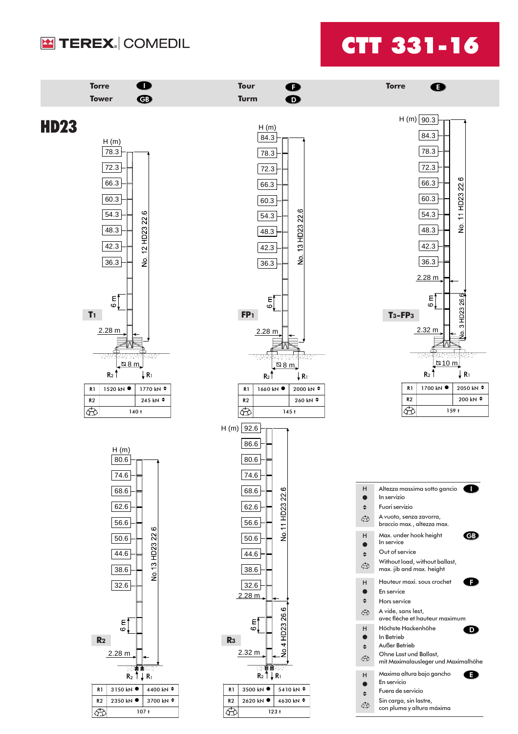